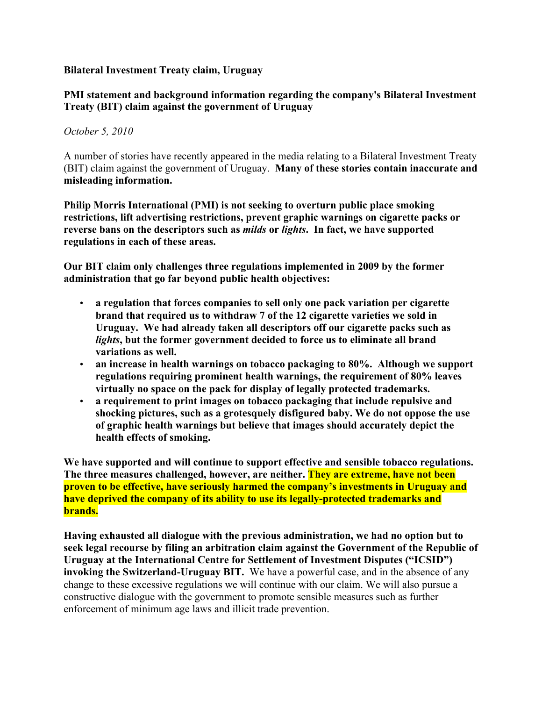## **Bilateral Investment Treaty claim, Uruguay**

## **PMI statement and background information regarding the company's Bilateral Investment Treaty (BIT) claim against the government of Uruguay**

## *October 5, 2010*

A number of stories have recently appeared in the media relating to a Bilateral Investment Treaty (BIT) claim against the government of Uruguay. **Many of these stories contain inaccurate and misleading information.** 

**Philip Morris International (PMI) is not seeking to overturn public place smoking restrictions, lift advertising restrictions, prevent graphic warnings on cigarette packs or reverse bans on the descriptors such as** *milds* **or** *lights***. In fact, we have supported regulations in each of these areas.** 

**Our BIT claim only challenges three regulations implemented in 2009 by the former administration that go far beyond public health objectives:**

- **a regulation that forces companies to sell only one pack variation per cigarette brand that required us to withdraw 7 of the 12 cigarette varieties we sold in Uruguay. We had already taken all descriptors off our cigarette packs such as**  *lights***, but the former government decided to force us to eliminate all brand variations as well.**
- **an increase in health warnings on tobacco packaging to 80%. Although we support regulations requiring prominent health warnings, the requirement of 80% leaves virtually no space on the pack for display of legally protected trademarks.**
- **a requirement to print images on tobacco packaging that include repulsive and shocking pictures, such as a grotesquely disfigured baby. We do not oppose the use of graphic health warnings but believe that images should accurately depict the health effects of smoking.**

**We have supported and will continue to support effective and sensible tobacco regulations. The three measures challenged, however, are neither. They are extreme, have not been proven to be effective, have seriously harmed the company's investments in Uruguay and have deprived the company of its ability to use its legally-protected trademarks and brands.** 

**Having exhausted all dialogue with the previous administration, we had no option but to seek legal recourse by filing an arbitration claim against the Government of the Republic of Uruguay at the International Centre for Settlement of Investment Disputes ("ICSID") invoking the Switzerland-Uruguay BIT.** We have a powerful case, and in the absence of any change to these excessive regulations we will continue with our claim. We will also pursue a constructive dialogue with the government to promote sensible measures such as further enforcement of minimum age laws and illicit trade prevention.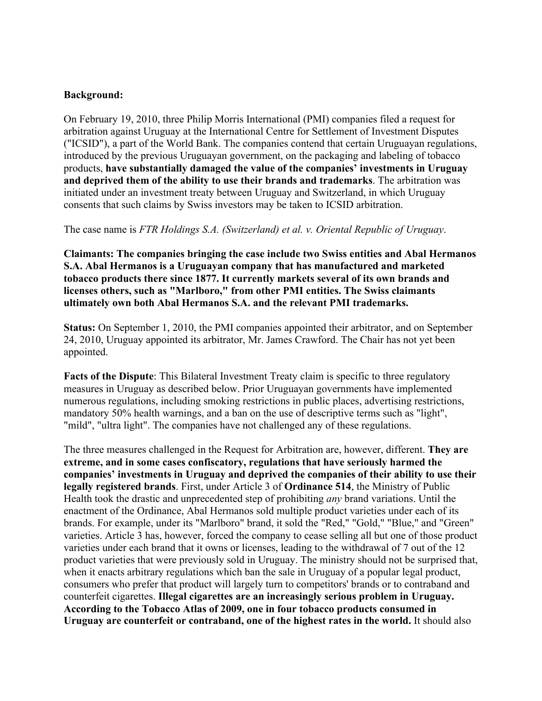## **Background:**

On February 19, 2010, three Philip Morris International (PMI) companies filed a request for arbitration against Uruguay at the International Centre for Settlement of Investment Disputes ("ICSID"), a part of the World Bank. The companies contend that certain Uruguayan regulations, introduced by the previous Uruguayan government, on the packaging and labeling of tobacco products, **have substantially damaged the value of the companies' investments in Uruguay and deprived them of the ability to use their brands and trademarks**. The arbitration was initiated under an investment treaty between Uruguay and Switzerland, in which Uruguay consents that such claims by Swiss investors may be taken to ICSID arbitration.

The case name is *FTR Holdings S.A. (Switzerland) et al. v. Oriental Republic of Uruguay*.

**Claimants: The companies bringing the case include two Swiss entities and Abal Hermanos S.A. Abal Hermanos is a Uruguayan company that has manufactured and marketed tobacco products there since 1877. It currently markets several of its own brands and licenses others, such as "Marlboro," from other PMI entities. The Swiss claimants ultimately own both Abal Hermanos S.A. and the relevant PMI trademarks.** 

**Status:** On September 1, 2010, the PMI companies appointed their arbitrator, and on September 24, 2010, Uruguay appointed its arbitrator, Mr. James Crawford. The Chair has not yet been appointed.

**Facts of the Dispute**: This Bilateral Investment Treaty claim is specific to three regulatory measures in Uruguay as described below. Prior Uruguayan governments have implemented numerous regulations, including smoking restrictions in public places, advertising restrictions, mandatory 50% health warnings, and a ban on the use of descriptive terms such as "light", "mild", "ultra light". The companies have not challenged any of these regulations.

The three measures challenged in the Request for Arbitration are, however, different. **They are extreme, and in some cases confiscatory, regulations that have seriously harmed the companies' investments in Uruguay and deprived the companies of their ability to use their legally registered brands**. First, under Article 3 of **Ordinance 514**, the Ministry of Public Health took the drastic and unprecedented step of prohibiting *any* brand variations. Until the enactment of the Ordinance, Abal Hermanos sold multiple product varieties under each of its brands. For example, under its "Marlboro" brand, it sold the "Red," "Gold," "Blue," and "Green" varieties. Article 3 has, however, forced the company to cease selling all but one of those product varieties under each brand that it owns or licenses, leading to the withdrawal of 7 out of the 12 product varieties that were previously sold in Uruguay. The ministry should not be surprised that, when it enacts arbitrary regulations which ban the sale in Uruguay of a popular legal product, consumers who prefer that product will largely turn to competitors' brands or to contraband and counterfeit cigarettes. **Illegal cigarettes are an increasingly serious problem in Uruguay. According to the Tobacco Atlas of 2009, one in four tobacco products consumed in Uruguay are counterfeit or contraband, one of the highest rates in the world.** It should also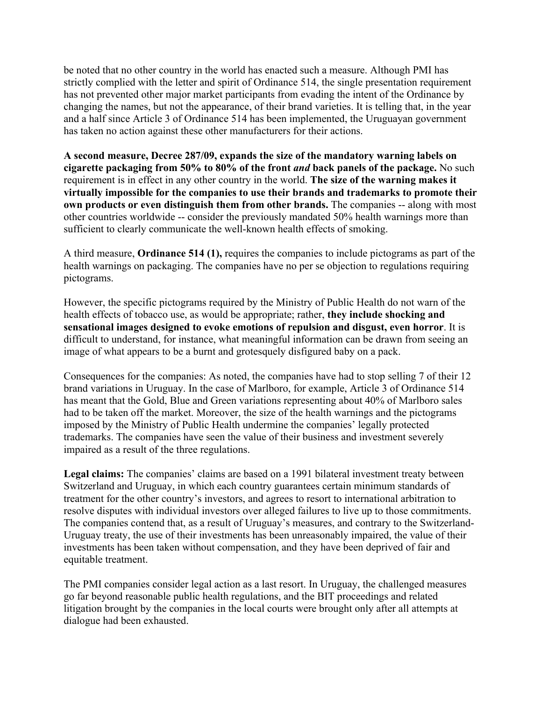be noted that no other country in the world has enacted such a measure. Although PMI has strictly complied with the letter and spirit of Ordinance 514, the single presentation requirement has not prevented other major market participants from evading the intent of the Ordinance by changing the names, but not the appearance, of their brand varieties. It is telling that, in the year and a half since Article 3 of Ordinance 514 has been implemented, the Uruguayan government has taken no action against these other manufacturers for their actions.

**A second measure, Decree 287/09, expands the size of the mandatory warning labels on cigarette packaging from 50% to 80% of the front** *and* **back panels of the package.** No such requirement is in effect in any other country in the world. **The size of the warning makes it virtually impossible for the companies to use their brands and trademarks to promote their own products or even distinguish them from other brands.** The companies -- along with most other countries worldwide -- consider the previously mandated 50% health warnings more than sufficient to clearly communicate the well-known health effects of smoking.

A third measure, **Ordinance 514 (1),** requires the companies to include pictograms as part of the health warnings on packaging. The companies have no per se objection to regulations requiring pictograms.

However, the specific pictograms required by the Ministry of Public Health do not warn of the health effects of tobacco use, as would be appropriate; rather, **they include shocking and sensational images designed to evoke emotions of repulsion and disgust, even horror**. It is difficult to understand, for instance, what meaningful information can be drawn from seeing an image of what appears to be a burnt and grotesquely disfigured baby on a pack.

Consequences for the companies: As noted, the companies have had to stop selling 7 of their 12 brand variations in Uruguay. In the case of Marlboro, for example, Article 3 of Ordinance 514 has meant that the Gold, Blue and Green variations representing about 40% of Marlboro sales had to be taken off the market. Moreover, the size of the health warnings and the pictograms imposed by the Ministry of Public Health undermine the companies' legally protected trademarks. The companies have seen the value of their business and investment severely impaired as a result of the three regulations.

**Legal claims:** The companies' claims are based on a 1991 bilateral investment treaty between Switzerland and Uruguay, in which each country guarantees certain minimum standards of treatment for the other country's investors, and agrees to resort to international arbitration to resolve disputes with individual investors over alleged failures to live up to those commitments. The companies contend that, as a result of Uruguay's measures, and contrary to the Switzerland-Uruguay treaty, the use of their investments has been unreasonably impaired, the value of their investments has been taken without compensation, and they have been deprived of fair and equitable treatment.

The PMI companies consider legal action as a last resort. In Uruguay, the challenged measures go far beyond reasonable public health regulations, and the BIT proceedings and related litigation brought by the companies in the local courts were brought only after all attempts at dialogue had been exhausted.